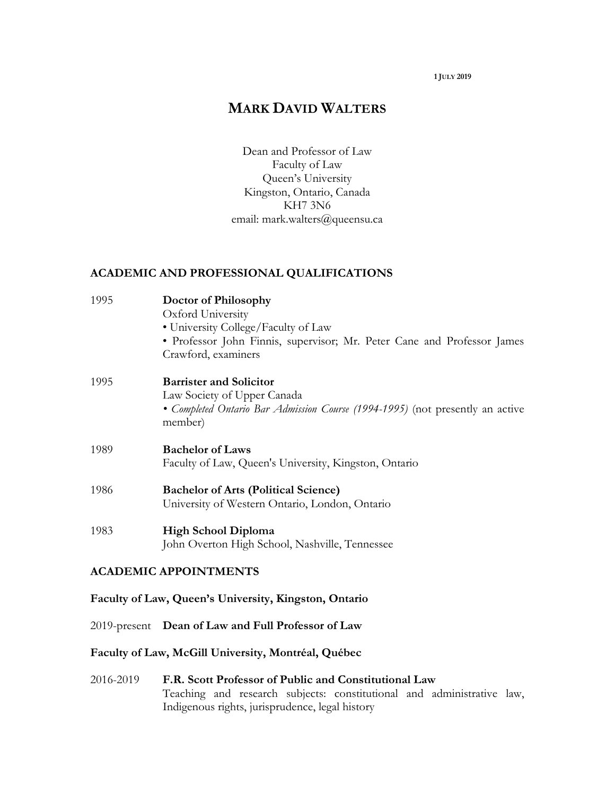#### **1 JULY 2019**

# **MARK DAVID WALTERS**

Dean and Professor of Law Faculty of Law Queen's University Kingston, Ontario, Canada KH7 3N6 email: mark.walters@queensu.ca

#### **ACADEMIC AND PROFESSIONAL QUALIFICATIONS**

| 1995 | Doctor of Philosophy<br>Oxford University<br>· University College/Faculty of Law<br>• Professor John Finnis, supervisor; Mr. Peter Cane and Professor James<br>Crawford, examiners |
|------|------------------------------------------------------------------------------------------------------------------------------------------------------------------------------------|
| 1995 | <b>Barrister and Solicitor</b><br>Law Society of Upper Canada<br>• Completed Ontario Bar Admission Course (1994-1995) (not presently an active<br>member)                          |
| 1989 | <b>Bachelor of Laws</b><br>Faculty of Law, Queen's University, Kingston, Ontario                                                                                                   |
| 1986 | <b>Bachelor of Arts (Political Science)</b><br>University of Western Ontario, London, Ontario                                                                                      |
| 1983 | <b>High School Diploma</b><br>John Overton High School, Nashville, Tennessee                                                                                                       |

#### **ACADEMIC APPOINTMENTS**

#### **Faculty of Law, Queen's University, Kingston, Ontario**

2019-present **Dean of Law and Full Professor of Law**

## **Faculty of Law, McGill University, Montréal, Québec**

2016-2019 **F.R. Scott Professor of Public and Constitutional Law** Teaching and research subjects: constitutional and administrative law, Indigenous rights, jurisprudence, legal history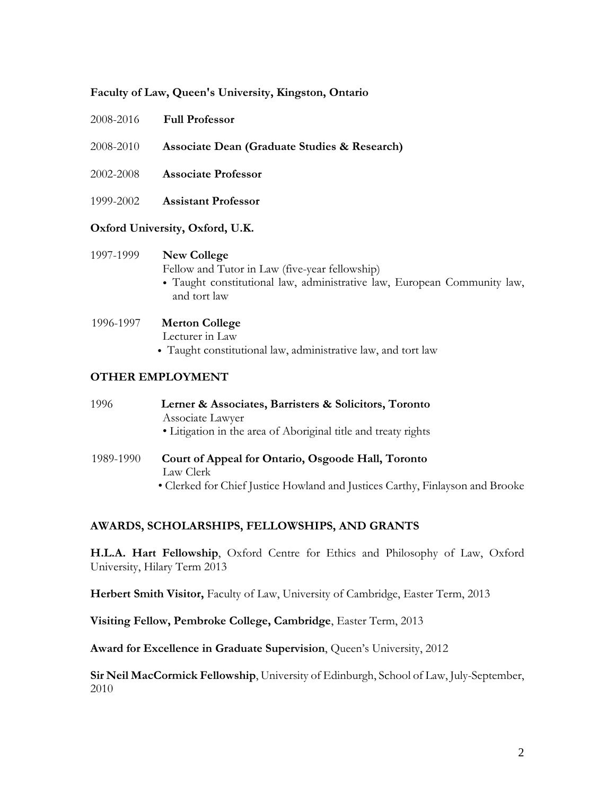#### **Faculty of Law, Queen's University, Kingston, Ontario**

- 2008-2010 **Associate Dean (Graduate Studies & Research)**
- 2002-2008 **Associate Professor**
- 1999-2002 **Assistant Professor**

#### **Oxford University, Oxford, U.K.**

#### 1997-1999 **New College**

Fellow and Tutor in Law (five-year fellowship)

• Taught constitutional law, administrative law, European Community law, and tort law

#### 1996-1997 **Merton College**

Lecturer in Law

• Taught constitutional law, administrative law, and tort law

#### **OTHER EMPLOYMENT**

| 1996      | Lerner & Associates, Barristers & Solicitors, Toronto           |
|-----------|-----------------------------------------------------------------|
|           | Associate Lawyer                                                |
|           | • Litigation in the area of Aboriginal title and treaty rights  |
| 1989-1990 | Court of Appeal for Ontario, Osgoode Hall, Toronto<br>Law Clerk |

• Clerked for Chief Justice Howland and Justices Carthy, Finlayson and Brooke

#### **AWARDS, SCHOLARSHIPS, FELLOWSHIPS, AND GRANTS**

**H.L.A. Hart Fellowship**, Oxford Centre for Ethics and Philosophy of Law, Oxford University, Hilary Term 2013

**Herbert Smith Visitor,** Faculty of Law, University of Cambridge, Easter Term, 2013

**Visiting Fellow, Pembroke College, Cambridge**, Easter Term, 2013

**Award for Excellence in Graduate Supervision**, Queen's University, 2012

**Sir Neil MacCormick Fellowship**, University of Edinburgh, School of Law, July-September, 2010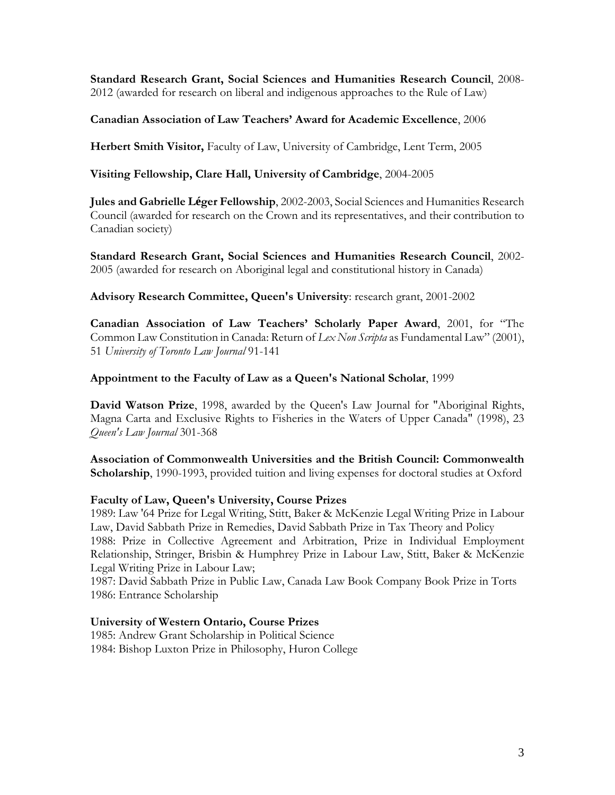**Standard Research Grant, Social Sciences and Humanities Research Council**, 2008- 2012 (awarded for research on liberal and indigenous approaches to the Rule of Law)

### **Canadian Association of Law Teachers' Award for Academic Excellence**, 2006

**Herbert Smith Visitor,** Faculty of Law, University of Cambridge, Lent Term, 2005

### **Visiting Fellowship, Clare Hall, University of Cambridge**, 2004-2005

**Jules and Gabrielle Léger Fellowship**, 2002-2003, Social Sciences and Humanities Research Council (awarded for research on the Crown and its representatives, and their contribution to Canadian society)

**Standard Research Grant, Social Sciences and Humanities Research Council**, 2002- 2005 (awarded for research on Aboriginal legal and constitutional history in Canada)

**Advisory Research Committee, Queen's University**: research grant, 2001-2002

**Canadian Association of Law Teachers' Scholarly Paper Award**, 2001, for "The Common Law Constitution in Canada: Return of *Lex Non Scripta* as Fundamental Law" (2001), 51 *University of Toronto Law Journal* 91-141

### **Appointment to the Faculty of Law as a Queen's National Scholar**, 1999

**David Watson Prize**, 1998, awarded by the Queen's Law Journal for "Aboriginal Rights, Magna Carta and Exclusive Rights to Fisheries in the Waters of Upper Canada" (1998), 23 *Queen's Law Journal* 301-368

**Association of Commonwealth Universities and the British Council: Commonwealth Scholarship**, 1990-1993, provided tuition and living expenses for doctoral studies at Oxford

### **Faculty of Law, Queen's University, Course Prizes**

1989: Law '64 Prize for Legal Writing, Stitt, Baker & McKenzie Legal Writing Prize in Labour Law, David Sabbath Prize in Remedies, David Sabbath Prize in Tax Theory and Policy 1988: Prize in Collective Agreement and Arbitration, Prize in Individual Employment Relationship, Stringer, Brisbin & Humphrey Prize in Labour Law, Stitt, Baker & McKenzie Legal Writing Prize in Labour Law;

1987: David Sabbath Prize in Public Law, Canada Law Book Company Book Prize in Torts 1986: Entrance Scholarship

### **University of Western Ontario, Course Prizes**

1985: Andrew Grant Scholarship in Political Science 1984: Bishop Luxton Prize in Philosophy, Huron College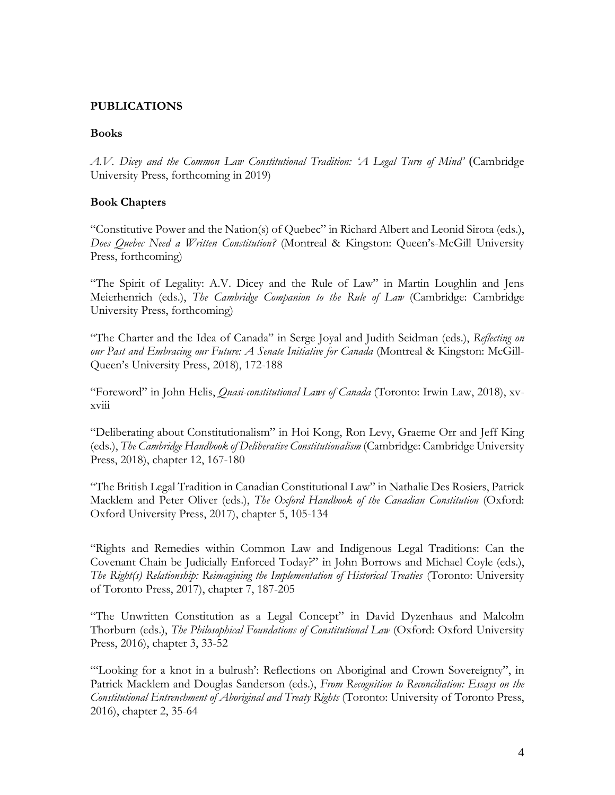### **PUBLICATIONS**

#### **Books**

*A.V. Dicey and the Common Law Constitutional Tradition: 'A Legal Turn of Mind'* (Cambridge University Press, forthcoming in 2019)

### **Book Chapters**

"Constitutive Power and the Nation(s) of Quebec" in Richard Albert and Leonid Sirota (eds.), *Does Quebec Need a Written Constitution?* (Montreal & Kingston: Queen's-McGill University Press, forthcoming)

"The Spirit of Legality: A.V. Dicey and the Rule of Law" in Martin Loughlin and Jens Meierhenrich (eds.), *The Cambridge Companion to the Rule of Law* (Cambridge: Cambridge University Press, forthcoming)

"The Charter and the Idea of Canada" in Serge Joyal and Judith Seidman (eds.), *Reflecting on our Past and Embracing our Future: A Senate Initiative for Canada* (Montreal & Kingston: McGill-Queen's University Press, 2018), 172-188

"Foreword" in John Helis, *Quasi-constitutional Laws of Canada* (Toronto: Irwin Law, 2018), xvxviii

"Deliberating about Constitutionalism" in Hoi Kong, Ron Levy, Graeme Orr and Jeff King (eds.), *The Cambridge Handbook of Deliberative Constitutionalism* (Cambridge: Cambridge University Press, 2018), chapter 12, 167-180

"The British Legal Tradition in Canadian Constitutional Law" in Nathalie Des Rosiers, Patrick Macklem and Peter Oliver (eds.), *The Oxford Handbook of the Canadian Constitution* (Oxford: Oxford University Press, 2017), chapter 5, 105-134

"Rights and Remedies within Common Law and Indigenous Legal Traditions: Can the Covenant Chain be Judicially Enforced Today?" in John Borrows and Michael Coyle (eds.), *The Right(s) Relationship: Reimagining the Implementation of Historical Treaties* (Toronto: University of Toronto Press, 2017), chapter 7, 187-205

"The Unwritten Constitution as a Legal Concept" in David Dyzenhaus and Malcolm Thorburn (eds.), *The Philosophical Foundations of Constitutional Law* (Oxford: Oxford University Press, 2016), chapter 3, 33-52

"'Looking for a knot in a bulrush': Reflections on Aboriginal and Crown Sovereignty", in Patrick Macklem and Douglas Sanderson (eds.), *From Recognition to Reconciliation: Essays on the Constitutional Entrenchment of Aboriginal and Treaty Rights* (Toronto: University of Toronto Press, 2016), chapter 2, 35-64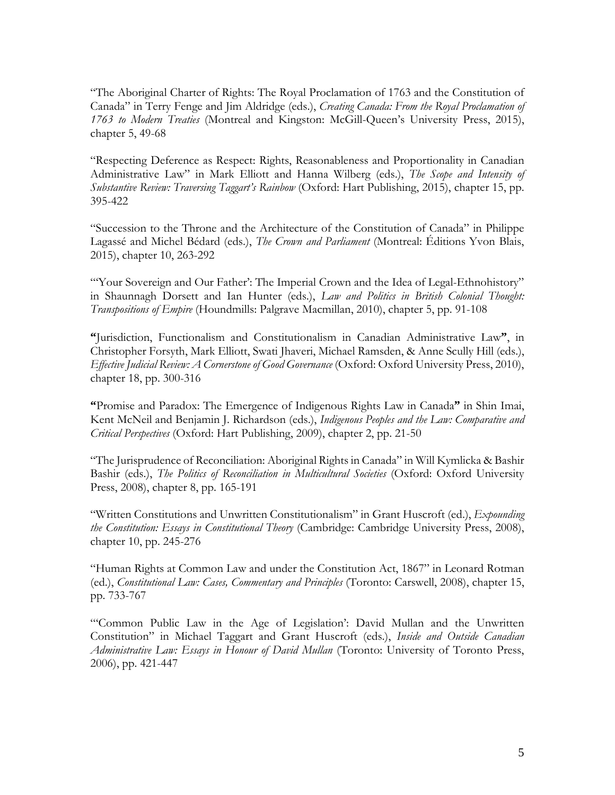"The Aboriginal Charter of Rights: The Royal Proclamation of 1763 and the Constitution of Canada" in Terry Fenge and Jim Aldridge (eds.), *Creating Canada: From the Royal Proclamation of 1763 to Modern Treaties* (Montreal and Kingston: McGill-Queen's University Press, 2015), chapter 5, 49-68

"Respecting Deference as Respect: Rights, Reasonableness and Proportionality in Canadian Administrative Law" in Mark Elliott and Hanna Wilberg (eds.), *The Scope and Intensity of Substantive Review: Traversing Taggart's Rainbow* (Oxford: Hart Publishing, 2015), chapter 15, pp. 395-422

"Succession to the Throne and the Architecture of the Constitution of Canada" in Philippe Lagassé and Michel Bédard (eds.), *The Crown and Parliament* (Montreal: Éditions Yvon Blais, 2015), chapter 10, 263-292

"Your Sovereign and Our Father': The Imperial Crown and the Idea of Legal-Ethnohistory" in Shaunnagh Dorsett and Ian Hunter (eds.), *Law and Politics in British Colonial Thought: Transpositions of Empire* (Houndmills: Palgrave Macmillan, 2010), chapter 5, pp. 91-108

**"**Jurisdiction, Functionalism and Constitutionalism in Canadian Administrative Law**"**, in Christopher Forsyth, Mark Elliott, Swati Jhaveri, Michael Ramsden, & Anne Scully Hill (eds.), *Effective Judicial Review: A Cornerstone of Good Governance* (Oxford: Oxford University Press, 2010), chapter 18, pp. 300-316

**"**Promise and Paradox: The Emergence of Indigenous Rights Law in Canada**"** in Shin Imai, Kent McNeil and Benjamin J. Richardson (eds.), *Indigenous Peoples and the Law: Comparative and Critical Perspectives* (Oxford: Hart Publishing, 2009), chapter 2, pp. 21-50

"The Jurisprudence of Reconciliation: Aboriginal Rights in Canada" in Will Kymlicka & Bashir Bashir (eds.), *The Politics of Reconciliation in Multicultural Societies* (Oxford: Oxford University Press, 2008), chapter 8, pp. 165-191

"Written Constitutions and Unwritten Constitutionalism" in Grant Huscroft (ed.), *Expounding the Constitution: Essays in Constitutional Theory* (Cambridge: Cambridge University Press, 2008), chapter 10, pp. 245-276

"Human Rights at Common Law and under the Constitution Act, 1867" in Leonard Rotman (ed.), *Constitutional Law: Cases, Commentary and Principles* (Toronto: Carswell, 2008), chapter 15, pp. 733-767

"'Common Public Law in the Age of Legislation': David Mullan and the Unwritten Constitution" in Michael Taggart and Grant Huscroft (eds.), *Inside and Outside Canadian Administrative Law: Essays in Honour of David Mullan* (Toronto: University of Toronto Press, 2006), pp. 421-447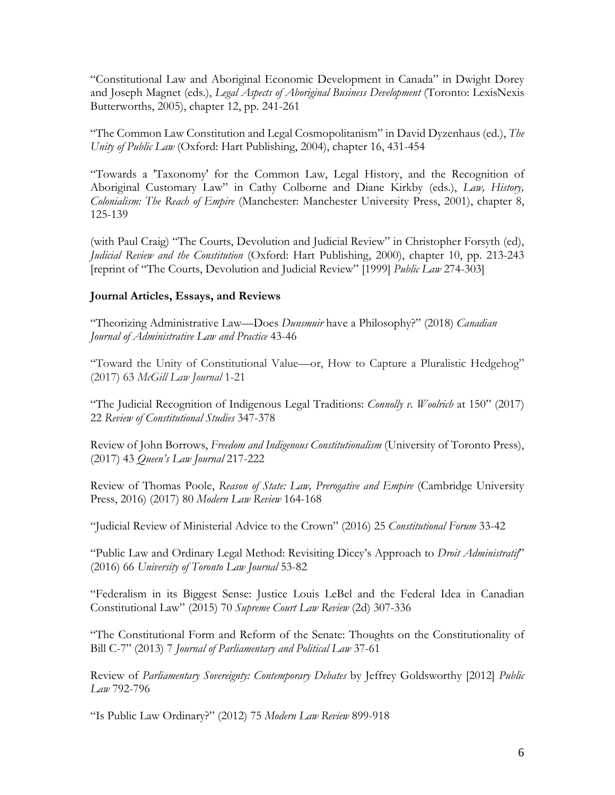"Constitutional Law and Aboriginal Economic Development in Canada" in Dwight Dorey and Joseph Magnet (eds.), *Legal Aspects of Aboriginal Business Development* (Toronto: LexisNexis Butterworths, 2005), chapter 12, pp. 241-261

"The Common Law Constitution and Legal Cosmopolitanism" in David Dyzenhaus (ed.), *The Unity of Public Law* (Oxford: Hart Publishing, 2004), chapter 16, 431-454

"Towards a 'Taxonomy' for the Common Law, Legal History, and the Recognition of Aboriginal Customary Law" in Cathy Colborne and Diane Kirkby (eds.), *Law, History, Colonialism: The Reach of Empire* (Manchester: Manchester University Press, 2001), chapter 8, 125-139

(with Paul Craig) "The Courts, Devolution and Judicial Review" in Christopher Forsyth (ed), *Judicial Review and the Constitution* (Oxford: Hart Publishing, 2000), chapter 10, pp. 213-243 [reprint of "The Courts, Devolution and Judicial Review" [1999] *Public Law* 274-303]

### **Journal Articles, Essays, and Reviews**

"Theorizing Administrative Law—Does *Dunsmuir* have a Philosophy?" (2018) *Canadian Journal of Administrative Law and Practice* 43-46

"Toward the Unity of Constitutional Value—or, How to Capture a Pluralistic Hedgehog" (2017) 63 *McGill Law Journal* 1-21

"The Judicial Recognition of Indigenous Legal Traditions: *Connolly v. Woolrich* at 150" (2017) 22 *Review of Constitutional Studies* 347-378

Review of John Borrows, *Freedom and Indigenous Constitutionalism* (University of Toronto Press), (2017) 43 *Queen's Law Journal* 217-222

Review of Thomas Poole, *Reason of State: Law, Prerogative and Empire* (Cambridge University Press, 2016) (2017) 80 *Modern Law Review* 164-168

"Judicial Review of Ministerial Advice to the Crown" (2016) 25 *Constitutional Forum* 33-42

"Public Law and Ordinary Legal Method: Revisiting Dicey's Approach to *Droit Administratif*" (2016) 66 *University of Toronto Law Journal* 53-82

"Federalism in its Biggest Sense: Justice Louis LeBel and the Federal Idea in Canadian Constitutional Law" (2015) 70 *Supreme Court Law Review* (2d) 307-336

"The Constitutional Form and Reform of the Senate: Thoughts on the Constitutionality of Bill C-7" (2013) 7 *Journal of Parliamentary and Political Law* 37-61

Review of *Parliamentary Sovereignty: Contemporary Debates* by Jeffrey Goldsworthy [2012] *Public Law* 792-796

"Is Public Law Ordinary?" (2012) 75 *Modern Law Review* 899-918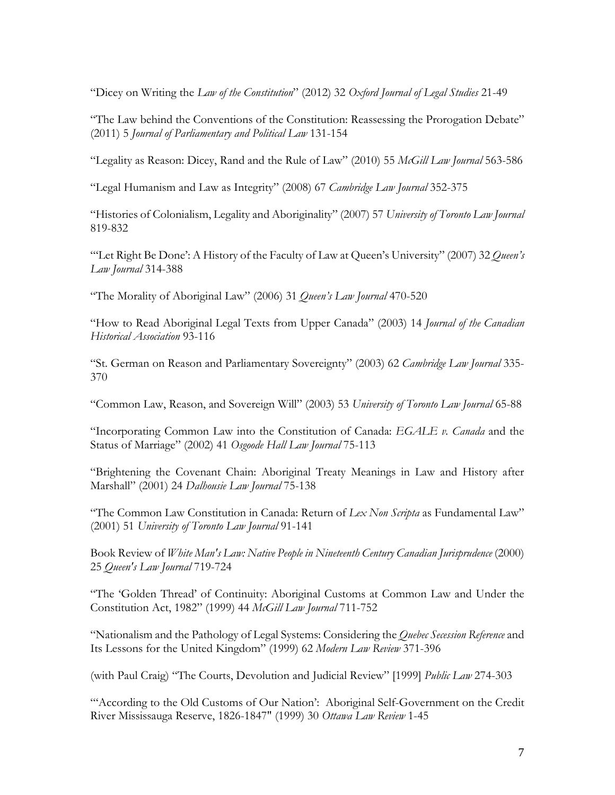"Dicey on Writing the *Law of the Constitution*" (2012) 32 *Oxford Journal of Legal Studies* 21-49

"The Law behind the Conventions of the Constitution: Reassessing the Prorogation Debate" (2011) 5 *Journal of Parliamentary and Political Law* 131-154

"Legality as Reason: Dicey, Rand and the Rule of Law" (2010) 55 *McGill Law Journal* 563-586

"Legal Humanism and Law as Integrity" (2008) 67 *Cambridge Law Journal* 352-375

"Histories of Colonialism, Legality and Aboriginality" (2007) 57 *University of Toronto Law Journal* 819-832

"'Let Right Be Done': A History of the Faculty of Law at Queen's University" (2007) 32 *Queen's Law Journal* 314-388

"The Morality of Aboriginal Law" (2006) 31 *Queen's Law Journal* 470-520

"How to Read Aboriginal Legal Texts from Upper Canada" (2003) 14 *Journal of the Canadian Historical Association* 93-116

"St. German on Reason and Parliamentary Sovereignty" (2003) 62 *Cambridge Law Journal* 335- 370

"Common Law, Reason, and Sovereign Will" (2003) 53 *University of Toronto Law Journal* 65-88

"Incorporating Common Law into the Constitution of Canada: *EGALE v. Canada* and the Status of Marriage" (2002) 41 *Osgoode Hall Law Journal* 75-113

"Brightening the Covenant Chain: Aboriginal Treaty Meanings in Law and History after Marshall" (2001) 24 *Dalhousie Law Journal* 75-138

"The Common Law Constitution in Canada: Return of *Lex Non Scripta* as Fundamental Law" (2001) 51 *University of Toronto Law Journal* 91-141

Book Review of *White Man's Law: Native People in Nineteenth Century Canadian Jurisprudence* (2000) 25 *Queen's Law Journal* 719-724

"The 'Golden Thread' of Continuity: Aboriginal Customs at Common Law and Under the Constitution Act, 1982" (1999) 44 *McGill Law Journal* 711-752

"Nationalism and the Pathology of Legal Systems: Considering the *Quebec Secession Reference* and Its Lessons for the United Kingdom" (1999) 62 *Modern Law Review* 371-396

(with Paul Craig) "The Courts, Devolution and Judicial Review" [1999] *Public Law* 274-303

"According to the Old Customs of Our Nation': Aboriginal Self-Government on the Credit River Mississauga Reserve, 1826-1847" (1999) 30 *Ottawa Law Review* 1-45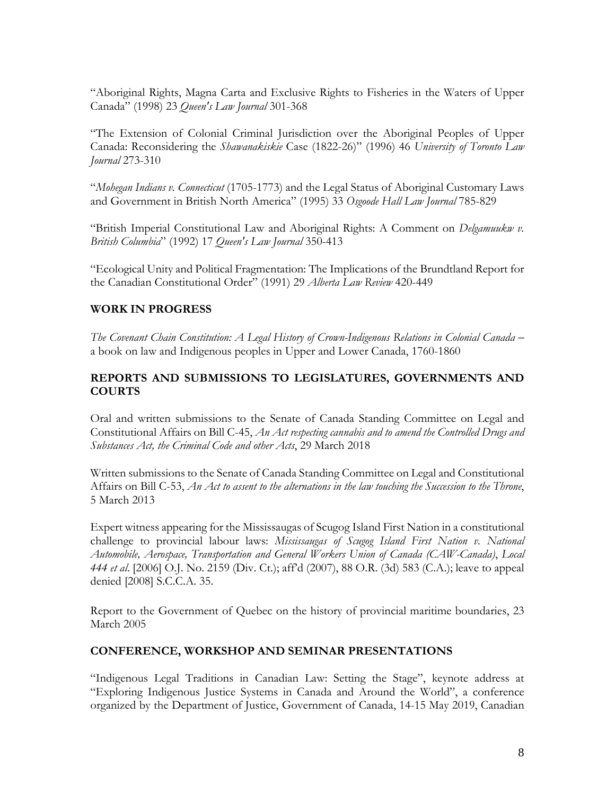"Aboriginal Rights, Magna Carta and Exclusive Rights to Fisheries in the Waters of Upper Canada" (1998) 23 *Queen's Law Journal* 301-368

"The Extension of Colonial Criminal Jurisdiction over the Aboriginal Peoples of Upper Canada: Reconsidering the *Shawanakiskie* Case (1822-26)" (1996) 46 *University of Toronto Law Journal* 273-310

"*Mohegan Indians v. Connecticut* (1705-1773) and the Legal Status of Aboriginal Customary Laws and Government in British North America" (1995) 33 *Osgoode Hall Law Journal* 785-829

"British Imperial Constitutional Law and Aboriginal Rights: A Comment on *Delgamuukw v. British Columbia*" (1992) 17 *Queen's Law Journal* 350-413

"Ecological Unity and Political Fragmentation: The Implications of the Brundtland Report for the Canadian Constitutional Order" (1991) 29 *Alberta Law Review* 420-449

### **WORK IN PROGRESS**

*The Covenant Chain Constitution: A Legal History of Crown-Indigenous Relations in Colonial Canada* – a book on law and Indigenous peoples in Upper and Lower Canada, 1760-1860

### **REPORTS AND SUBMISSIONS TO LEGISLATURES, GOVERNMENTS AND COURTS**

Oral and written submissions to the Senate of Canada Standing Committee on Legal and Constitutional Affairs on Bill C-45, *An Act respecting cannabis and to amend the Controlled Drugs and Substances Act, the Criminal Code and other Acts*, 29 March 2018

Written submissions to the Senate of Canada Standing Committee on Legal and Constitutional Affairs on Bill C-53, *An Act to assent to the alternations in the law touching the Succession to the Throne*, 5 March 2013

Expert witness appearing for the Mississaugas of Scugog Island First Nation in a constitutional challenge to provincial labour laws: *Mississaugas of Scugog Island First Nation v. National Automobile, Aerospace, Transportation and General Workers Union of Canada (CAW-Canada)*, *Local 444 et al*. [2006] O.J. No. 2159 (Div. Ct.); aff'd (2007), 88 O.R. (3d) 583 (C.A.); leave to appeal denied [2008] S.C.C.A. 35.

Report to the Government of Quebec on the history of provincial maritime boundaries, 23 March 2005

### **CONFERENCE, WORKSHOP AND SEMINAR PRESENTATIONS**

"Indigenous Legal Traditions in Canadian Law: Setting the Stage", keynote address at "Exploring Indigenous Justice Systems in Canada and Around the World", a conference organized by the Department of Justice, Government of Canada, 14-15 May 2019, Canadian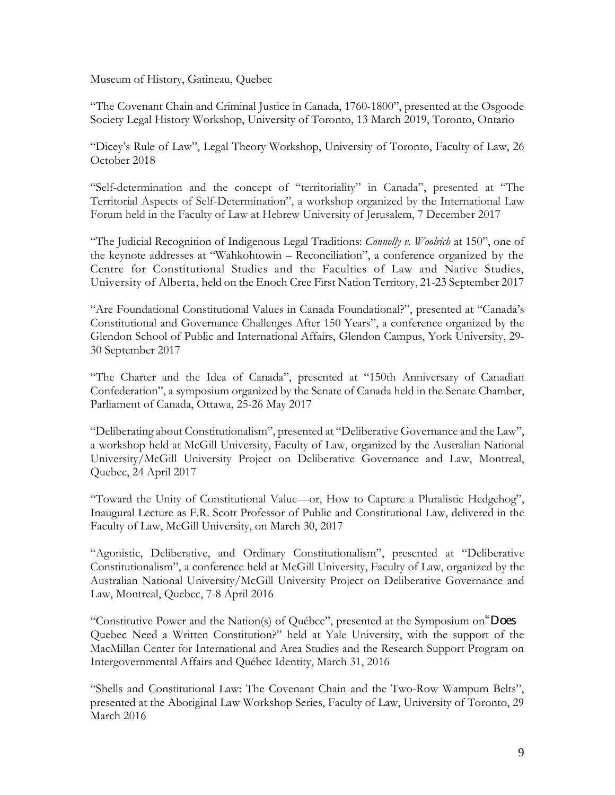Museum of History, Gatineau, Quebec

"The Covenant Chain and Criminal Justice in Canada, 1760-1800", presented at the Osgoode Society Legal History Workshop, University of Toronto, 13 March 2019, Toronto, Ontario

"Dicey's Rule of Law", Legal Theory Workshop, University of Toronto, Faculty of Law, 26 October 2018

"Self-determination and the concept of "territoriality" in Canada", presented at "The Territorial Aspects of Self-Determination", a workshop organized by the International Law Forum held in the Faculty of Law at Hebrew University of Jerusalem, 7 December 2017

"The Judicial Recognition of Indigenous Legal Traditions: *Connolly v. Woolrich* at 150", one of the keynote addresses at "Wahkohtowin – Reconciliation", a conference organized by the Centre for Constitutional Studies and the Faculties of Law and Native Studies, University of Alberta, held on the Enoch Cree First Nation Territory, 21-23 September 2017

"Are Foundational Constitutional Values in Canada Foundational?", presented at "Canada's Constitutional and Governance Challenges After 150 Years", a conference organized by the Glendon School of Public and International Affairs, Glendon Campus, York University, 29- 30 September 2017

"The Charter and the Idea of Canada", presented at "150th Anniversary of Canadian Confederation", a symposium organized by the Senate of Canada held in the Senate Chamber, Parliament of Canada, Ottawa, 25-26 May 2017

"Deliberating about Constitutionalism", presented at "Deliberative Governance and the Law", a workshop held at McGill University, Faculty of Law, organized by the Australian National University/McGill University Project on Deliberative Governance and Law, Montreal, Quebec, 24 April 2017

"Toward the Unity of Constitutional Value—or, How to Capture a Pluralistic Hedgehog", Inaugural Lecture as F.R. Scott Professor of Public and Constitutional Law, delivered in the Faculty of Law, McGill University, on March 30, 2017

"Agonistic, Deliberative, and Ordinary Constitutionalism", presented at "Deliberative Constitutionalism", a conference held at McGill University, Faculty of Law, organized by the Australian National University/McGill University Project on Deliberative Governance and Law, Montreal, Quebec, 7-8 April 2016

"Constitutive Power and the Nation(s) of Québec", presented at the Symposium on"Does Quebec Need a Written Constitution?" held at Yale University, with the support of the MacMillan Center for International and Area Studies and the Research Support Program on Intergovernmental Affairs and Québec Identity, March 31, 2016

"Shells and Constitutional Law: The Covenant Chain and the Two-Row Wampum Belts", presented at the Aboriginal Law Workshop Series, Faculty of Law, University of Toronto, 29 March 2016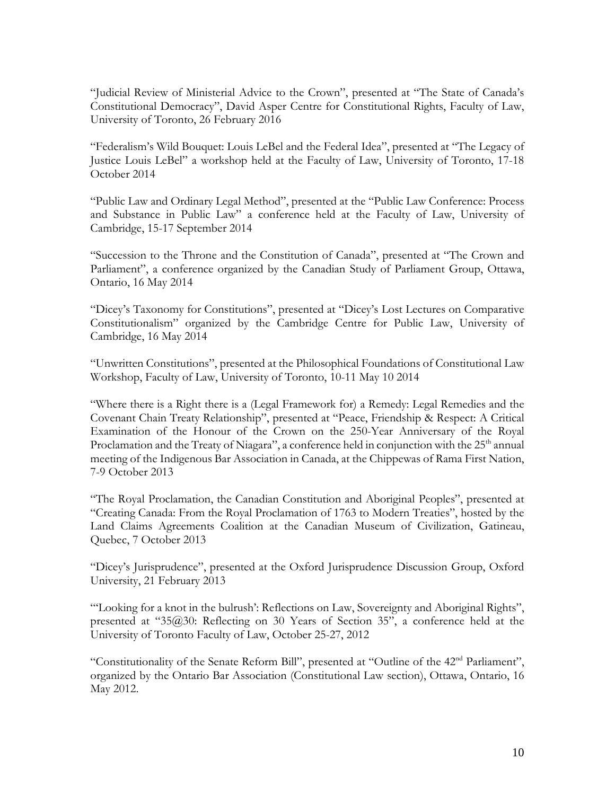"Judicial Review of Ministerial Advice to the Crown", presented at "The State of Canada's Constitutional Democracy", David Asper Centre for Constitutional Rights, Faculty of Law, University of Toronto, 26 February 2016

"Federalism's Wild Bouquet: Louis LeBel and the Federal Idea", presented at "The Legacy of Justice Louis LeBel" a workshop held at the Faculty of Law, University of Toronto, 17-18 October 2014

"Public Law and Ordinary Legal Method", presented at the "Public Law Conference: Process and Substance in Public Law" a conference held at the Faculty of Law, University of Cambridge, 15-17 September 2014

"Succession to the Throne and the Constitution of Canada", presented at "The Crown and Parliament", a conference organized by the Canadian Study of Parliament Group, Ottawa, Ontario, 16 May 2014

"Dicey's Taxonomy for Constitutions", presented at "Dicey's Lost Lectures on Comparative Constitutionalism" organized by the Cambridge Centre for Public Law, University of Cambridge, 16 May 2014

"Unwritten Constitutions", presented at the Philosophical Foundations of Constitutional Law Workshop, Faculty of Law, University of Toronto, 10-11 May 10 2014

"Where there is a Right there is a (Legal Framework for) a Remedy: Legal Remedies and the Covenant Chain Treaty Relationship", presented at "Peace, Friendship & Respect: A Critical Examination of the Honour of the Crown on the 250-Year Anniversary of the Royal Proclamation and the Treaty of Niagara", a conference held in conjunction with the 25<sup>th</sup> annual meeting of the Indigenous Bar Association in Canada, at the Chippewas of Rama First Nation, 7-9 October 2013

"The Royal Proclamation, the Canadian Constitution and Aboriginal Peoples", presented at "Creating Canada: From the Royal Proclamation of 1763 to Modern Treaties", hosted by the Land Claims Agreements Coalition at the Canadian Museum of Civilization, Gatineau, Quebec, 7 October 2013

"Dicey's Jurisprudence", presented at the Oxford Jurisprudence Discussion Group, Oxford University, 21 February 2013

"'Looking for a knot in the bulrush': Reflections on Law, Sovereignty and Aboriginal Rights", presented at "35@30: Reflecting on 30 Years of Section 35", a conference held at the University of Toronto Faculty of Law, October 25-27, 2012

"Constitutionality of the Senate Reform Bill", presented at "Outline of the 42nd Parliament", organized by the Ontario Bar Association (Constitutional Law section), Ottawa, Ontario, 16 May 2012.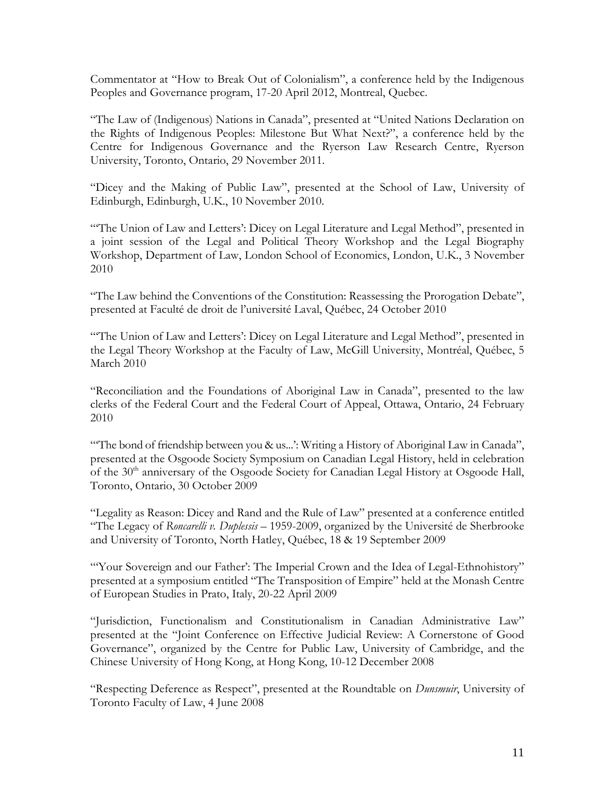Commentator at "How to Break Out of Colonialism", a conference held by the Indigenous Peoples and Governance program, 17-20 April 2012, Montreal, Quebec.

"The Law of (Indigenous) Nations in Canada", presented at "United Nations Declaration on the Rights of Indigenous Peoples: Milestone But What Next?", a conference held by the Centre for Indigenous Governance and the Ryerson Law Research Centre, Ryerson University, Toronto, Ontario, 29 November 2011.

"Dicey and the Making of Public Law", presented at the School of Law, University of Edinburgh, Edinburgh, U.K., 10 November 2010.

"'The Union of Law and Letters': Dicey on Legal Literature and Legal Method", presented in a joint session of the Legal and Political Theory Workshop and the Legal Biography Workshop, Department of Law, London School of Economics, London, U.K., 3 November 2010

"The Law behind the Conventions of the Constitution: Reassessing the Prorogation Debate", presented at Faculté de droit de l'université Laval, Québec, 24 October 2010

"The Union of Law and Letters': Dicey on Legal Literature and Legal Method", presented in the Legal Theory Workshop at the Faculty of Law, McGill University, Montréal, Québec, 5 March 2010

"Reconciliation and the Foundations of Aboriginal Law in Canada", presented to the law clerks of the Federal Court and the Federal Court of Appeal, Ottawa, Ontario, 24 February 2010

"The bond of friendship between you & us...": Writing a History of Aboriginal Law in Canada", presented at the Osgoode Society Symposium on Canadian Legal History, held in celebration of the 30<sup>th</sup> anniversary of the Osgoode Society for Canadian Legal History at Osgoode Hall, Toronto, Ontario, 30 October 2009

"Legality as Reason: Dicey and Rand and the Rule of Law" presented at a conference entitled "The Legacy of *Roncarelli v. Duplessis* – 1959-2009, organized by the Université de Sherbrooke and University of Toronto, North Hatley, Québec, 18 & 19 September 2009

"'Your Sovereign and our Father': The Imperial Crown and the Idea of Legal-Ethnohistory" presented at a symposium entitled "The Transposition of Empire" held at the Monash Centre of European Studies in Prato, Italy, 20-22 April 2009

"Jurisdiction, Functionalism and Constitutionalism in Canadian Administrative Law" presented at the "Joint Conference on Effective Judicial Review: A Cornerstone of Good Governance", organized by the Centre for Public Law, University of Cambridge, and the Chinese University of Hong Kong, at Hong Kong, 10-12 December 2008

"Respecting Deference as Respect", presented at the Roundtable on *Dunsmuir*, University of Toronto Faculty of Law, 4 June 2008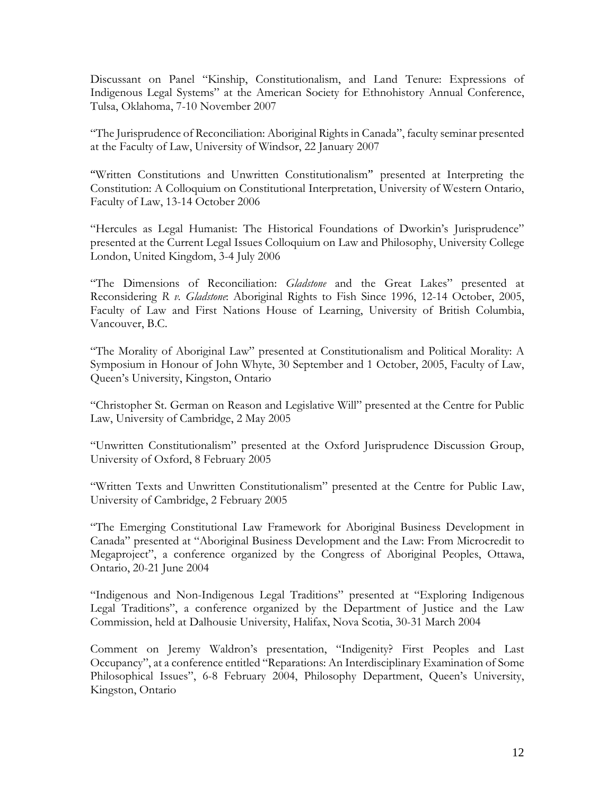Discussant on Panel "Kinship, Constitutionalism, and Land Tenure: Expressions of Indigenous Legal Systems" at the American Society for Ethnohistory Annual Conference, Tulsa, Oklahoma, 7-10 November 2007

"The Jurisprudence of Reconciliation: Aboriginal Rights in Canada", faculty seminar presented at the Faculty of Law, University of Windsor, 22 January 2007

"Written Constitutions and Unwritten Constitutionalism" presented at Interpreting the Constitution: A Colloquium on Constitutional Interpretation, University of Western Ontario, Faculty of Law, 13-14 October 2006

"Hercules as Legal Humanist: The Historical Foundations of Dworkin's Jurisprudence" presented at the Current Legal Issues Colloquium on Law and Philosophy, University College London, United Kingdom, 3-4 July 2006

"The Dimensions of Reconciliation: *Gladstone* and the Great Lakes" presented at Reconsidering *R v. Gladstone*: Aboriginal Rights to Fish Since 1996, 12-14 October, 2005, Faculty of Law and First Nations House of Learning, University of British Columbia, Vancouver, B.C.

"The Morality of Aboriginal Law" presented at Constitutionalism and Political Morality: A Symposium in Honour of John Whyte, 30 September and 1 October, 2005, Faculty of Law, Queen's University, Kingston, Ontario

"Christopher St. German on Reason and Legislative Will" presented at the Centre for Public Law, University of Cambridge, 2 May 2005

"Unwritten Constitutionalism" presented at the Oxford Jurisprudence Discussion Group, University of Oxford, 8 February 2005

"Written Texts and Unwritten Constitutionalism" presented at the Centre for Public Law, University of Cambridge, 2 February 2005

"The Emerging Constitutional Law Framework for Aboriginal Business Development in Canada" presented at "Aboriginal Business Development and the Law: From Microcredit to Megaproject", a conference organized by the Congress of Aboriginal Peoples, Ottawa, Ontario, 20-21 June 2004

"Indigenous and Non-Indigenous Legal Traditions" presented at "Exploring Indigenous Legal Traditions", a conference organized by the Department of Justice and the Law Commission, held at Dalhousie University, Halifax, Nova Scotia, 30-31 March 2004

Comment on Jeremy Waldron's presentation, "Indigenity? First Peoples and Last Occupancy", at a conference entitled "Reparations: An Interdisciplinary Examination of Some Philosophical Issues", 6-8 February 2004, Philosophy Department, Queen's University, Kingston, Ontario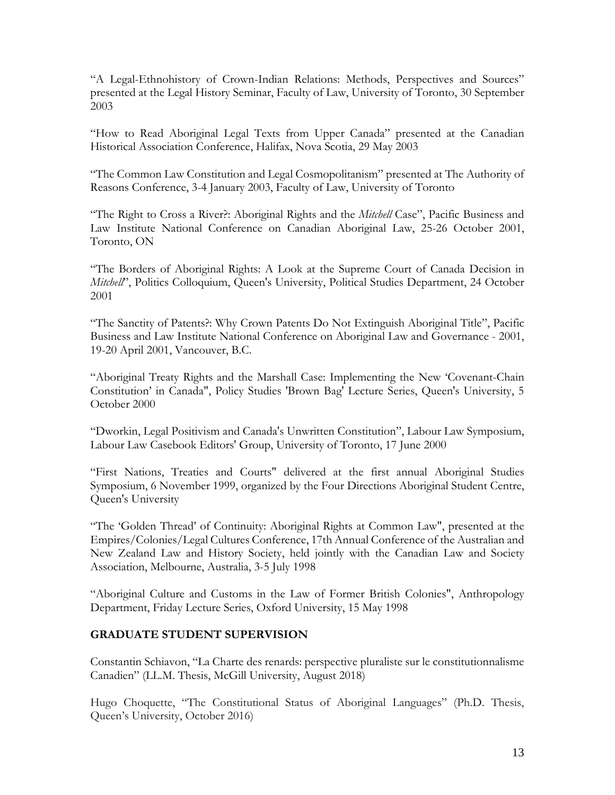"A Legal-Ethnohistory of Crown-Indian Relations: Methods, Perspectives and Sources" presented at the Legal History Seminar, Faculty of Law, University of Toronto, 30 September 2003

"How to Read Aboriginal Legal Texts from Upper Canada" presented at the Canadian Historical Association Conference, Halifax, Nova Scotia, 29 May 2003

"The Common Law Constitution and Legal Cosmopolitanism" presented at The Authority of Reasons Conference, 3-4 January 2003, Faculty of Law, University of Toronto

"The Right to Cross a River?: Aboriginal Rights and the *Mitchell* Case", Pacific Business and Law Institute National Conference on Canadian Aboriginal Law, 25-26 October 2001, Toronto, ON

"The Borders of Aboriginal Rights: A Look at the Supreme Court of Canada Decision in *Mitchell'*, Politics Colloquium, Queen's University, Political Studies Department, 24 October 2001

"The Sanctity of Patents?: Why Crown Patents Do Not Extinguish Aboriginal Title", Pacific Business and Law Institute National Conference on Aboriginal Law and Governance - 2001, 19-20 April 2001, Vancouver, B.C.

"Aboriginal Treaty Rights and the Marshall Case: Implementing the New 'Covenant-Chain Constitution' in Canada", Policy Studies 'Brown Bag' Lecture Series, Queen's University, 5 October 2000

"Dworkin, Legal Positivism and Canada's Unwritten Constitution", Labour Law Symposium, Labour Law Casebook Editors' Group, University of Toronto, 17 June 2000

"First Nations, Treaties and Courts" delivered at the first annual Aboriginal Studies Symposium, 6 November 1999, organized by the Four Directions Aboriginal Student Centre, Queen's University

"The 'Golden Thread' of Continuity: Aboriginal Rights at Common Law", presented at the Empires/Colonies/Legal Cultures Conference, 17th Annual Conference of the Australian and New Zealand Law and History Society, held jointly with the Canadian Law and Society Association, Melbourne, Australia, 3-5 July 1998

"Aboriginal Culture and Customs in the Law of Former British Colonies", Anthropology Department, Friday Lecture Series, Oxford University, 15 May 1998

### **GRADUATE STUDENT SUPERVISION**

Constantin Schiavon, "La Charte des renards: perspective pluraliste sur le constitutionnalisme Canadien" (LL.M. Thesis, McGill University, August 2018)

Hugo Choquette, "The Constitutional Status of Aboriginal Languages" (Ph.D. Thesis, Queen's University, October 2016)